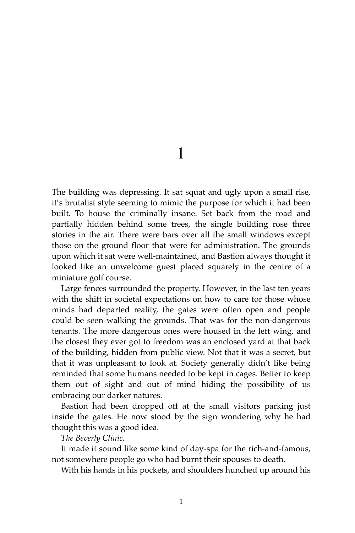1

The building was depressing. It sat squat and ugly upon a small rise, it's brutalist style seeming to mimic the purpose for which it had been built. To house the criminally insane. Set back from the road and partially hidden behind some trees, the single building rose three stories in the air. There were bars over all the small windows except those on the ground floor that were for administration. The grounds upon which it sat were well-maintained, and Bastion always thought it looked like an unwelcome guest placed squarely in the centre of a miniature golf course.

Large fences surrounded the property. However, in the last ten years with the shift in societal expectations on how to care for those whose minds had departed reality, the gates were often open and people could be seen walking the grounds. That was for the non-dangerous tenants. The more dangerous ones were housed in the left wing, and the closest they ever got to freedom was an enclosed yard at that back of the building, hidden from public view. Not that it was a secret, but that it was unpleasant to look at. Society generally didn't like being reminded that some humans needed to be kept in cages. Better to keep them out of sight and out of mind hiding the possibility of us embracing our darker natures.

Bastion had been dropped off at the small visitors parking just inside the gates. He now stood by the sign wondering why he had thought this was a good idea.

*The Beverly Clinic.*

It made it sound like some kind of day-spa for the rich-and-famous, not somewhere people go who had burnt their spouses to death.

With his hands in his pockets, and shoulders hunched up around his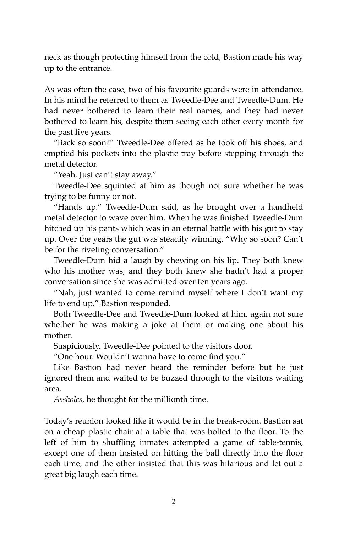neck as though protecting himself from the cold, Bastion made his way up to the entrance.

As was often the case, two of his favourite guards were in attendance. In his mind he referred to them as Tweedle-Dee and Tweedle-Dum. He had never bothered to learn their real names, and they had never bothered to learn his, despite them seeing each other every month for the past five years.

"Back so soon?" Tweedle-Dee offered as he took off his shoes, and emptied his pockets into the plastic tray before stepping through the metal detector.

"Yeah. Just can't stay away."

Tweedle-Dee squinted at him as though not sure whether he was trying to be funny or not.

"Hands up." Tweedle-Dum said, as he brought over a handheld metal detector to wave over him. When he was finished Tweedle-Dum hitched up his pants which was in an eternal battle with his gut to stay up. Over the years the gut was steadily winning. "Why so soon? Can't be for the riveting conversation."

Tweedle-Dum hid a laugh by chewing on his lip. They both knew who his mother was, and they both knew she hadn't had a proper conversation since she was admitted over ten years ago.

"Nah, just wanted to come remind myself where I don't want my life to end up." Bastion responded.

Both Tweedle-Dee and Tweedle-Dum looked at him, again not sure whether he was making a joke at them or making one about his mother.

Suspiciously, Tweedle-Dee pointed to the visitors door.

"One hour. Wouldn't wanna have to come find you."

Like Bastion had never heard the reminder before but he just ignored them and waited to be buzzed through to the visitors waiting area.

*Assholes*, he thought for the millionth time.

Today's reunion looked like it would be in the break-room. Bastion sat on a cheap plastic chair at a table that was bolted to the floor. To the left of him to shuffling inmates attempted a game of table-tennis, except one of them insisted on hitting the ball directly into the floor each time, and the other insisted that this was hilarious and let out a great big laugh each time.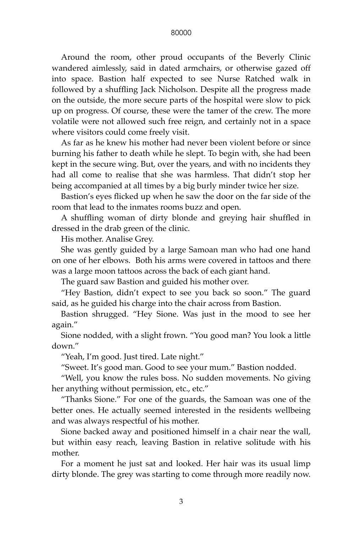Around the room, other proud occupants of the Beverly Clinic wandered aimlessly, said in dated armchairs, or otherwise gazed off into space. Bastion half expected to see Nurse Ratched walk in followed by a shuffling Jack Nicholson. Despite all the progress made on the outside, the more secure parts of the hospital were slow to pick up on progress. Of course, these were the tamer of the crew. The more volatile were not allowed such free reign, and certainly not in a space where visitors could come freely visit.

As far as he knew his mother had never been violent before or since burning his father to death while he slept. To begin with, she had been kept in the secure wing. But, over the years, and with no incidents they had all come to realise that she was harmless. That didn't stop her being accompanied at all times by a big burly minder twice her size.

Bastion's eyes flicked up when he saw the door on the far side of the room that lead to the inmates rooms buzz and open.

A shuffling woman of dirty blonde and greying hair shuffled in dressed in the drab green of the clinic.

His mother. Analise Grey.

She was gently guided by a large Samoan man who had one hand on one of her elbows. Both his arms were covered in tattoos and there was a large moon tattoos across the back of each giant hand.

The guard saw Bastion and guided his mother over.

"Hey Bastion, didn't expect to see you back so soon." The guard said, as he guided his charge into the chair across from Bastion.

Bastion shrugged. "Hey Sione. Was just in the mood to see her again."

Sione nodded, with a slight frown. "You good man? You look a little down."

"Yeah, I'm good. Just tired. Late night."

"Sweet. It's good man. Good to see your mum." Bastion nodded.

"Well, you know the rules boss. No sudden movements. No giving her anything without permission, etc., etc."

"Thanks Sione." For one of the guards, the Samoan was one of the better ones. He actually seemed interested in the residents wellbeing and was always respectful of his mother.

Sione backed away and positioned himself in a chair near the wall, but within easy reach, leaving Bastion in relative solitude with his mother.

For a moment he just sat and looked. Her hair was its usual limp dirty blonde. The grey was starting to come through more readily now.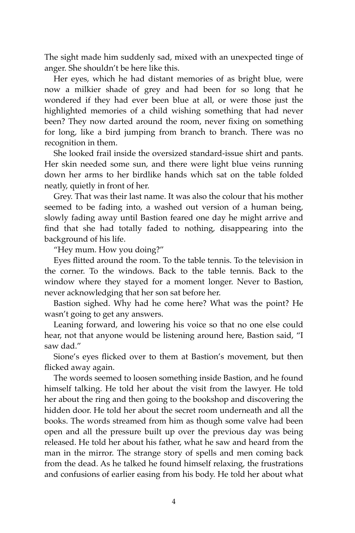The sight made him suddenly sad, mixed with an unexpected tinge of anger. She shouldn't be here like this.

Her eyes, which he had distant memories of as bright blue, were now a milkier shade of grey and had been for so long that he wondered if they had ever been blue at all, or were those just the highlighted memories of a child wishing something that had never been? They now darted around the room, never fixing on something for long, like a bird jumping from branch to branch. There was no recognition in them.

She looked frail inside the oversized standard-issue shirt and pants. Her skin needed some sun, and there were light blue veins running down her arms to her birdlike hands which sat on the table folded neatly, quietly in front of her.

Grey. That was their last name. It was also the colour that his mother seemed to be fading into, a washed out version of a human being, slowly fading away until Bastion feared one day he might arrive and find that she had totally faded to nothing, disappearing into the background of his life.

"Hey mum. How you doing?"

Eyes flitted around the room. To the table tennis. To the television in the corner. To the windows. Back to the table tennis. Back to the window where they stayed for a moment longer. Never to Bastion, never acknowledging that her son sat before her.

Bastion sighed. Why had he come here? What was the point? He wasn't going to get any answers.

Leaning forward, and lowering his voice so that no one else could hear, not that anyone would be listening around here, Bastion said, "I saw dad."

Sione's eyes flicked over to them at Bastion's movement, but then flicked away again.

The words seemed to loosen something inside Bastion, and he found himself talking. He told her about the visit from the lawyer. He told her about the ring and then going to the bookshop and discovering the hidden door. He told her about the secret room underneath and all the books. The words streamed from him as though some valve had been open and all the pressure built up over the previous day was being released. He told her about his father, what he saw and heard from the man in the mirror. The strange story of spells and men coming back from the dead. As he talked he found himself relaxing, the frustrations and confusions of earlier easing from his body. He told her about what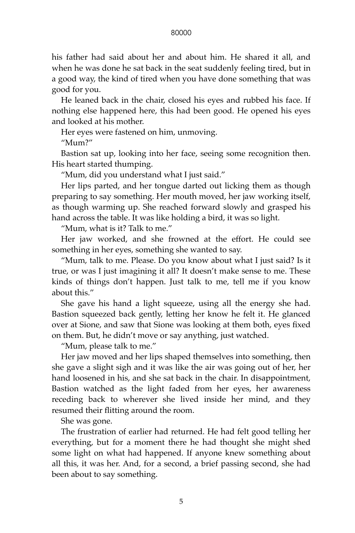## 80000

his father had said about her and about him. He shared it all, and when he was done he sat back in the seat suddenly feeling tired, but in a good way, the kind of tired when you have done something that was good for you.

He leaned back in the chair, closed his eyes and rubbed his face. If nothing else happened here, this had been good. He opened his eyes and looked at his mother.

Her eyes were fastened on him, unmoving.

"Mum?"

Bastion sat up, looking into her face, seeing some recognition then. His heart started thumping.

"Mum, did you understand what I just said."

Her lips parted, and her tongue darted out licking them as though preparing to say something. Her mouth moved, her jaw working itself, as though warming up. She reached forward slowly and grasped his hand across the table. It was like holding a bird, it was so light.

"Mum, what is it? Talk to me."

Her jaw worked, and she frowned at the effort. He could see something in her eyes, something she wanted to say.

"Mum, talk to me. Please. Do you know about what I just said? Is it true, or was I just imagining it all? It doesn't make sense to me. These kinds of things don't happen. Just talk to me, tell me if you know about this."

She gave his hand a light squeeze, using all the energy she had. Bastion squeezed back gently, letting her know he felt it. He glanced over at Sione, and saw that Sione was looking at them both, eyes fixed on them. But, he didn't move or say anything, just watched.

"Mum, please talk to me."

Her jaw moved and her lips shaped themselves into something, then she gave a slight sigh and it was like the air was going out of her, her hand loosened in his, and she sat back in the chair. In disappointment, Bastion watched as the light faded from her eyes, her awareness receding back to wherever she lived inside her mind, and they resumed their flitting around the room.

She was gone.

The frustration of earlier had returned. He had felt good telling her everything, but for a moment there he had thought she might shed some light on what had happened. If anyone knew something about all this, it was her. And, for a second, a brief passing second, she had been about to say something.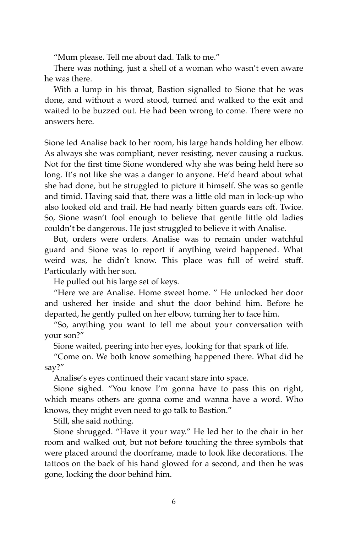"Mum please. Tell me about dad. Talk to me."

There was nothing, just a shell of a woman who wasn't even aware he was there.

With a lump in his throat, Bastion signalled to Sione that he was done, and without a word stood, turned and walked to the exit and waited to be buzzed out. He had been wrong to come. There were no answers here.

Sione led Analise back to her room, his large hands holding her elbow. As always she was compliant, never resisting, never causing a ruckus. Not for the first time Sione wondered why she was being held here so long. It's not like she was a danger to anyone. He'd heard about what she had done, but he struggled to picture it himself. She was so gentle and timid. Having said that, there was a little old man in lock-up who also looked old and frail. He had nearly bitten guards ears off. Twice. So, Sione wasn't fool enough to believe that gentle little old ladies couldn't be dangerous. He just struggled to believe it with Analise.

But, orders were orders. Analise was to remain under watchful guard and Sione was to report if anything weird happened. What weird was, he didn't know. This place was full of weird stuff. Particularly with her son.

He pulled out his large set of keys.

"Here we are Analise. Home sweet home. " He unlocked her door and ushered her inside and shut the door behind him. Before he departed, he gently pulled on her elbow, turning her to face him.

"So, anything you want to tell me about your conversation with your son?"

Sione waited, peering into her eyes, looking for that spark of life.

"Come on. We both know something happened there. What did he say?"

Analise's eyes continued their vacant stare into space.

Sione sighed. "You know I'm gonna have to pass this on right, which means others are gonna come and wanna have a word. Who knows, they might even need to go talk to Bastion."

Still, she said nothing.

Sione shrugged. "Have it your way." He led her to the chair in her room and walked out, but not before touching the three symbols that were placed around the doorframe, made to look like decorations. The tattoos on the back of his hand glowed for a second, and then he was gone, locking the door behind him.